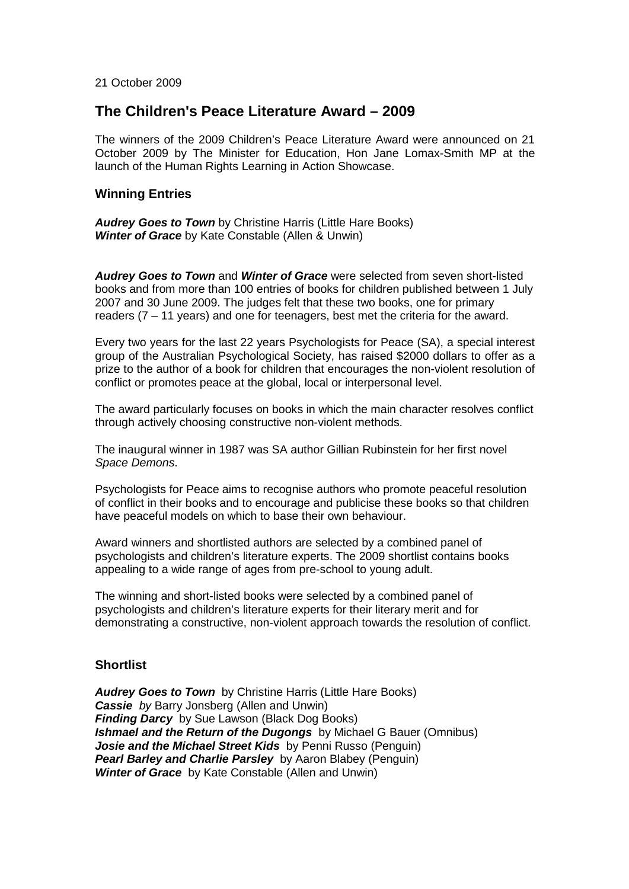21 October 2009

# **The Children's Peace Literature Award – 2009**

The winners of the 2009 Children's Peace Literature Award were announced on 21 October 2009 by The Minister for Education, Hon Jane Lomax-Smith MP at the launch of the Human Rights Learning in Action Showcase.

#### **Winning Entries**

*Audrey Goes to Town* by Christine Harris (Little Hare Books) *Winter of Grace* by Kate Constable (Allen & Unwin)

*Audrey Goes to Town* and *Winter of Grace* were selected from seven short-listed books and from more than 100 entries of books for children published between 1 July 2007 and 30 June 2009. The judges felt that these two books, one for primary readers (7 – 11 years) and one for teenagers, best met the criteria for the award.

Every two years for the last 22 years Psychologists for Peace (SA), a special interest group of the Australian Psychological Society, has raised \$2000 dollars to offer as a prize to the author of a book for children that encourages the non-violent resolution of conflict or promotes peace at the global, local or interpersonal level.

The award particularly focuses on books in which the main character resolves conflict through actively choosing constructive non-violent methods.

The inaugural winner in 1987 was SA author Gillian Rubinstein for her first novel *Space Demons*.

Psychologists for Peace aims to recognise authors who promote peaceful resolution of conflict in their books and to encourage and publicise these books so that children have peaceful models on which to base their own behaviour.

Award winners and shortlisted authors are selected by a combined panel of psychologists and children's literature experts. The 2009 shortlist contains books appealing to a wide range of ages from pre-school to young adult.

The winning and short-listed books were selected by a combined panel of psychologists and children's literature experts for their literary merit and for demonstrating a constructive, non-violent approach towards the resolution of conflict.

#### **Shortlist**

*Audrey Goes to Town* by Christine Harris (Little Hare Books) *Cassie by Barry Jonsberg (Allen and Unwin)* **Finding Darcy** by Sue Lawson (Black Dog Books) **Ishmael and the Return of the Dugongs** by Michael G Bauer (Omnibus) *Josie and the Michael Street Kids* by Penni Russo (Penguin) *Pearl Barley and Charlie Parsley* by Aaron Blabey (Penguin) *Winter of Grace* by Kate Constable (Allen and Unwin)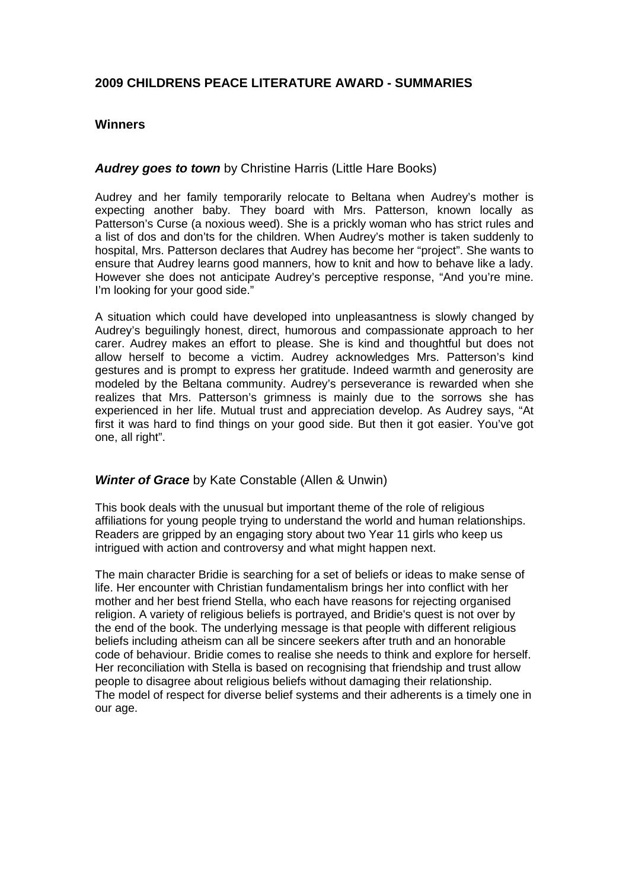# **2009 CHILDRENS PEACE LITERATURE AWARD - SUMMARIES**

#### **Winners**

#### *Audrey goes to town* by Christine Harris (Little Hare Books)

Audrey and her family temporarily relocate to Beltana when Audrey's mother is expecting another baby. They board with Mrs. Patterson, known locally as Patterson's Curse (a noxious weed). She is a prickly woman who has strict rules and a list of dos and don'ts for the children. When Audrey's mother is taken suddenly to hospital, Mrs. Patterson declares that Audrey has become her "project". She wants to ensure that Audrey learns good manners, how to knit and how to behave like a lady. However she does not anticipate Audrey's perceptive response, "And you're mine. I'm looking for your good side."

A situation which could have developed into unpleasantness is slowly changed by Audrey's beguilingly honest, direct, humorous and compassionate approach to her carer. Audrey makes an effort to please. She is kind and thoughtful but does not allow herself to become a victim. Audrey acknowledges Mrs. Patterson's kind gestures and is prompt to express her gratitude. Indeed warmth and generosity are modeled by the Beltana community. Audrey's perseverance is rewarded when she realizes that Mrs. Patterson's grimness is mainly due to the sorrows she has experienced in her life. Mutual trust and appreciation develop. As Audrey says, "At first it was hard to find things on your good side. But then it got easier. You've got one, all right".

#### *Winter of Grace* by Kate Constable (Allen & Unwin)

This book deals with the unusual but important theme of the role of religious affiliations for young people trying to understand the world and human relationships. Readers are gripped by an engaging story about two Year 11 girls who keep us intrigued with action and controversy and what might happen next.

The main character Bridie is searching for a set of beliefs or ideas to make sense of life. Her encounter with Christian fundamentalism brings her into conflict with her mother and her best friend Stella, who each have reasons for rejecting organised religion. A variety of religious beliefs is portrayed, and Bridie's quest is not over by the end of the book. The underlying message is that people with different religious beliefs including atheism can all be sincere seekers after truth and an honorable code of behaviour. Bridie comes to realise she needs to think and explore for herself. Her reconciliation with Stella is based on recognising that friendship and trust allow people to disagree about religious beliefs without damaging their relationship. The model of respect for diverse belief systems and their adherents is a timely one in our age.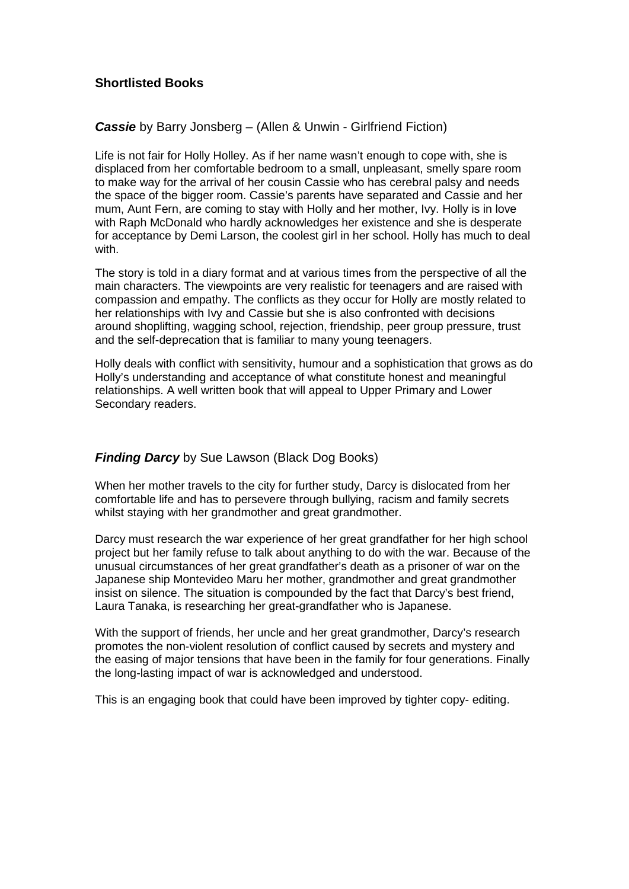# **Shortlisted Books**

#### *Cassie* by Barry Jonsberg – (Allen & Unwin - Girlfriend Fiction)

Life is not fair for Holly Holley. As if her name wasn't enough to cope with, she is displaced from her comfortable bedroom to a small, unpleasant, smelly spare room to make way for the arrival of her cousin Cassie who has cerebral palsy and needs the space of the bigger room. Cassie's parents have separated and Cassie and her mum, Aunt Fern, are coming to stay with Holly and her mother, Ivy. Holly is in love with Raph McDonald who hardly acknowledges her existence and she is desperate for acceptance by Demi Larson, the coolest girl in her school. Holly has much to deal with.

The story is told in a diary format and at various times from the perspective of all the main characters. The viewpoints are very realistic for teenagers and are raised with compassion and empathy. The conflicts as they occur for Holly are mostly related to her relationships with Ivy and Cassie but she is also confronted with decisions around shoplifting, wagging school, rejection, friendship, peer group pressure, trust and the self-deprecation that is familiar to many young teenagers.

Holly deals with conflict with sensitivity, humour and a sophistication that grows as do Holly's understanding and acceptance of what constitute honest and meaningful relationships. A well written book that will appeal to Upper Primary and Lower Secondary readers.

### *Finding Darcy* by Sue Lawson (Black Dog Books)

When her mother travels to the city for further study, Darcy is dislocated from her comfortable life and has to persevere through bullying, racism and family secrets whilst staying with her grandmother and great grandmother.

Darcy must research the war experience of her great grandfather for her high school project but her family refuse to talk about anything to do with the war. Because of the unusual circumstances of her great grandfather's death as a prisoner of war on the Japanese ship Montevideo Maru her mother, grandmother and great grandmother insist on silence. The situation is compounded by the fact that Darcy's best friend, Laura Tanaka, is researching her great-grandfather who is Japanese.

With the support of friends, her uncle and her great grandmother, Darcy's research promotes the non-violent resolution of conflict caused by secrets and mystery and the easing of major tensions that have been in the family for four generations. Finally the long-lasting impact of war is acknowledged and understood.

This is an engaging book that could have been improved by tighter copy- editing.